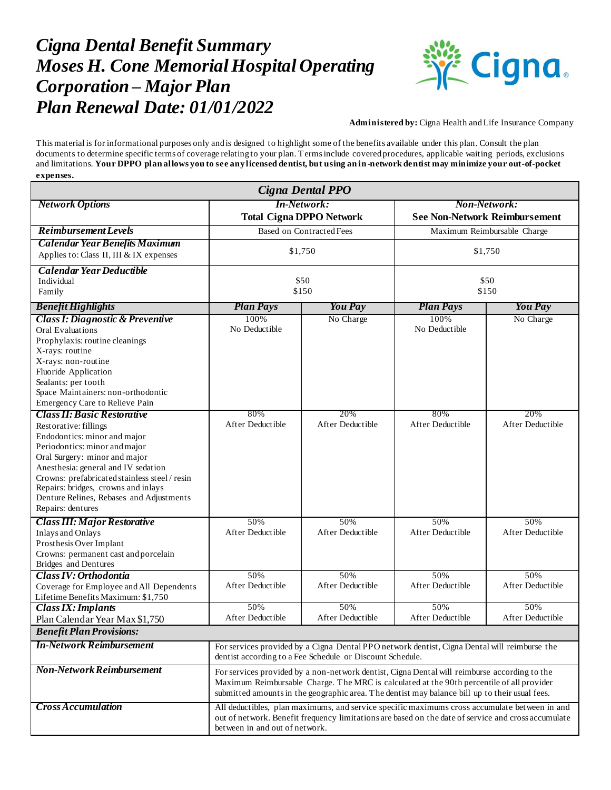## *Cigna Dental Benefit Summary Moses H. Cone Memorial Hospital Operating Corporation – Major Plan Plan Renewal Date: 01/01/2022*



**Administered by:** Cigna Health and Life Insurance Company

This material is for informational purposes only and is designed to highlight some of the benefits available under this plan. Consult the plan documents to determine specific terms of coverage relating to your plan. Terms include covered procedures, applicable waiting periods, exclusions and limitations. **Your DPPO plan allows you to see any licensed dentist, but using an in-network dentist may minimize your out-of-pocket expenses.**

| Cigna Dental PPO                                                                                                                                                                                                                                                                                                        |                                                                                                                                                                                                                                                                                             |                         |                                                             |                         |
|-------------------------------------------------------------------------------------------------------------------------------------------------------------------------------------------------------------------------------------------------------------------------------------------------------------------------|---------------------------------------------------------------------------------------------------------------------------------------------------------------------------------------------------------------------------------------------------------------------------------------------|-------------------------|-------------------------------------------------------------|-------------------------|
| <b>Network Options</b>                                                                                                                                                                                                                                                                                                  | <b>In-Network:</b><br><b>Total Cigna DPPO Network</b>                                                                                                                                                                                                                                       |                         | <b>Non-Network:</b><br><b>See Non-Network Reimbursement</b> |                         |
| <b>Reimbursement Levels</b>                                                                                                                                                                                                                                                                                             | <b>Based on Contracted Fees</b>                                                                                                                                                                                                                                                             |                         | Maximum Reimbursable Charge                                 |                         |
| <b>Calendar Year Benefits Maximum</b><br>Applies to: Class II, III & IX expenses                                                                                                                                                                                                                                        | \$1,750                                                                                                                                                                                                                                                                                     |                         | \$1,750                                                     |                         |
| <b>Calendar Year Deductible</b><br>Individual<br>Family                                                                                                                                                                                                                                                                 | \$50<br>\$150                                                                                                                                                                                                                                                                               |                         | \$50<br>\$150                                               |                         |
| <b>Benefit Highlights</b>                                                                                                                                                                                                                                                                                               | <b>Plan Pays</b>                                                                                                                                                                                                                                                                            | You Pay                 | <b>Plan Pays</b>                                            | <b>You Pay</b>          |
| <b>Class I: Diagnostic &amp; Preventive</b><br><b>Oral Evaluations</b><br>Prophylaxis: routine cleanings<br>X-rays: routine<br>X-rays: non-routine<br>Fluoride Application<br>Sealants: per tooth<br>Space Maintainers: non-orthodontic<br>Emergency Care to Relieve Pain                                               | 100%<br>No Deductible                                                                                                                                                                                                                                                                       | No Charge               | 100%<br>No Deductible                                       | No Charge               |
| <b>Class II: Basic Restorative</b>                                                                                                                                                                                                                                                                                      | 80%                                                                                                                                                                                                                                                                                         | 20%                     | 80%                                                         | 20%                     |
| Restorative: fillings<br>Endodontics: minor and major<br>Periodontics: minor and major<br>Oral Surgery: minor and major<br>Anesthesia: general and IV sedation<br>Crowns: prefabricated stainless steel / resin<br>Repairs: bridges, crowns and inlays<br>Denture Relines, Rebases and Adjustments<br>Repairs: dentures | After Deductible                                                                                                                                                                                                                                                                            | After Deductible        | After Deductible                                            | After Deductible        |
| <b>Class III: Major Restorative</b><br><b>Inlays and Onlays</b><br>Prosthesis Over Implant<br>Crowns: permanent cast and porcelain<br><b>Bridges</b> and Dentures                                                                                                                                                       | 50%<br>After Deductible                                                                                                                                                                                                                                                                     | 50%<br>After Deductible | 50%<br>After Deductible                                     | 50%<br>After Deductible |
| Class <b>IV</b> : Orthodontia                                                                                                                                                                                                                                                                                           | 50%                                                                                                                                                                                                                                                                                         | 50%                     | 50%                                                         | 50%                     |
| Coverage for Employee and All Dependents<br>Lifetime Benefits Maximum: \$1,750                                                                                                                                                                                                                                          | After Deductible                                                                                                                                                                                                                                                                            | After Deductible        | After Deductible                                            | After Deductible        |
| <b>Class IX: Implants</b>                                                                                                                                                                                                                                                                                               | 50%                                                                                                                                                                                                                                                                                         | 50%                     | 50%                                                         | 50%                     |
| Plan Calendar Year Max \$1,750                                                                                                                                                                                                                                                                                          | After Deductible                                                                                                                                                                                                                                                                            | After Deductible        | After Deductible                                            | After Deductible        |
| <b>Benefit Plan Provisions:</b>                                                                                                                                                                                                                                                                                         |                                                                                                                                                                                                                                                                                             |                         |                                                             |                         |
| <b>In-Network Reimbursement</b>                                                                                                                                                                                                                                                                                         | For services provided by a Cigna Dental PPO network dentist, Cigna Dental will reimburse the<br>dentist according to a Fee Schedule or Discount Schedule.                                                                                                                                   |                         |                                                             |                         |
| <b>Non-Network Reimbursement</b>                                                                                                                                                                                                                                                                                        | For services provided by a non-network dentist, Cigna Dental will reimburse according to the<br>Maximum Reimbursable Charge. The MRC is calculated at the 90th percentile of all provider<br>submitted amounts in the geographic area. The dentist may balance bill up to their usual fees. |                         |                                                             |                         |
| <b>Cross Accumulation</b>                                                                                                                                                                                                                                                                                               | All deductibles, plan maximums, and service specific maximums cross accumulate between in and<br>out of network. Benefit frequency limitations are based on the date of service and cross accumulate<br>between in and out of network.                                                      |                         |                                                             |                         |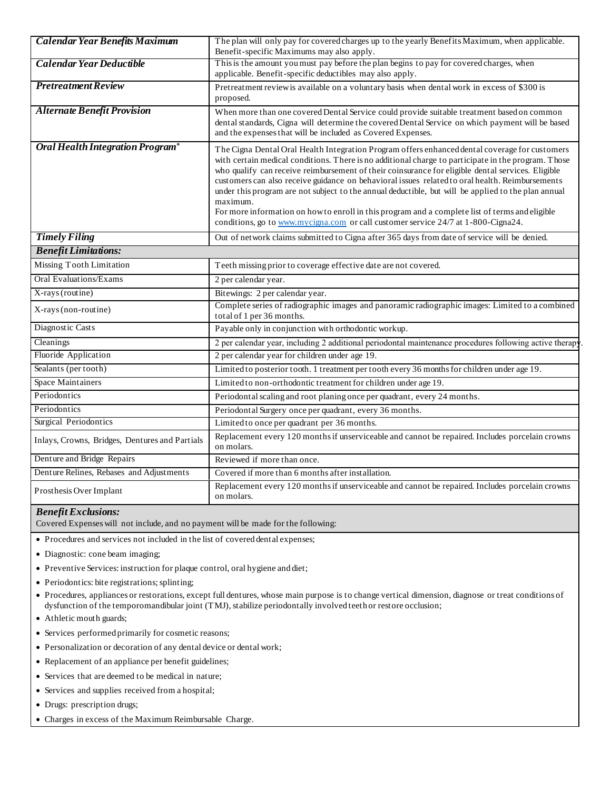| <b>Calendar Year Benefits Maximum</b>          | The plan will only pay for covered charges up to the yearly Benefits Maximum, when applicable.<br>Benefit-specific Maximums may also apply.                                                                                                                                                                                                                                                                                                                                                                                                                                                                                                                                                                              |  |
|------------------------------------------------|--------------------------------------------------------------------------------------------------------------------------------------------------------------------------------------------------------------------------------------------------------------------------------------------------------------------------------------------------------------------------------------------------------------------------------------------------------------------------------------------------------------------------------------------------------------------------------------------------------------------------------------------------------------------------------------------------------------------------|--|
| Calendar Year Deductible                       | This is the amount you must pay before the plan begins to pay for covered charges, when<br>applicable. Benefit-specific deductibles may also apply.                                                                                                                                                                                                                                                                                                                                                                                                                                                                                                                                                                      |  |
| <b>Pretreatment Review</b>                     | Pretreatment reviewis available on a voluntary basis when dental work in excess of \$300 is<br>proposed.                                                                                                                                                                                                                                                                                                                                                                                                                                                                                                                                                                                                                 |  |
| <b>Alternate Benefit Provision</b>             | When more than one covered Dental Service could provide suitable treatment based on common<br>dental standards, Cigna will determine the covered Dental Service on which payment will be based<br>and the expenses that will be included as Covered Expenses.                                                                                                                                                                                                                                                                                                                                                                                                                                                            |  |
| Oral Health Integration Program®               | The Cigna Dental Oral Health Integration Program offers enhanced dental coverage for customers<br>with certain medical conditions. There is no additional charge to participate in the program. Those<br>who qualify can receive reimbursement of their coinsurance for eligible dental services. Eligible<br>customers can also receive guidance on behavioral issues related to oral health. Reimbursements<br>under this program are not subject to the annual deductible, but will be applied to the plan annual<br>maximum.<br>For more information on how to enroll in this program and a complete list of terms and eligible<br>conditions, go to www.mycigna.com or call customer service 24/7 at 1-800-Cigna24. |  |
| <b>Timely Filing</b>                           | Out of network claims submitted to Cigna after 365 days from date of service will be denied.                                                                                                                                                                                                                                                                                                                                                                                                                                                                                                                                                                                                                             |  |
| <b>Benefit Limitations:</b>                    |                                                                                                                                                                                                                                                                                                                                                                                                                                                                                                                                                                                                                                                                                                                          |  |
| Missing Tooth Limitation                       | Teeth missing prior to coverage effective date are not covered.                                                                                                                                                                                                                                                                                                                                                                                                                                                                                                                                                                                                                                                          |  |
| Oral Evaluations/Exams                         | 2 per calendar year.                                                                                                                                                                                                                                                                                                                                                                                                                                                                                                                                                                                                                                                                                                     |  |
| X-rays (routine)                               | Bitewings: 2 per calendar year.                                                                                                                                                                                                                                                                                                                                                                                                                                                                                                                                                                                                                                                                                          |  |
| X-rays (non-routine)                           | Complete series of radiographic images and panoramic radiographic images: Limited to a combined<br>total of 1 per 36 months.                                                                                                                                                                                                                                                                                                                                                                                                                                                                                                                                                                                             |  |
| Diagnostic Casts                               | Payable only in conjunction with orthodontic workup.                                                                                                                                                                                                                                                                                                                                                                                                                                                                                                                                                                                                                                                                     |  |
| Cleanings                                      | 2 per calendar year, including 2 additional periodontal maintenance procedures following active therapy                                                                                                                                                                                                                                                                                                                                                                                                                                                                                                                                                                                                                  |  |
| Fluoride Application                           | 2 per calendar year for children under age 19.                                                                                                                                                                                                                                                                                                                                                                                                                                                                                                                                                                                                                                                                           |  |
| Sealants (per tooth)                           | Limited to posterior tooth. 1 treatment per tooth every 36 months for children under age 19.                                                                                                                                                                                                                                                                                                                                                                                                                                                                                                                                                                                                                             |  |
| Space Maintainers                              | Limited to non-orthodontic treatment for children under age 19.                                                                                                                                                                                                                                                                                                                                                                                                                                                                                                                                                                                                                                                          |  |
| Periodontics                                   | Periodontal scaling and root planing once per quadrant, every 24 months.                                                                                                                                                                                                                                                                                                                                                                                                                                                                                                                                                                                                                                                 |  |
| Periodontics                                   | Periodontal Surgery once per quadrant, every 36 months.                                                                                                                                                                                                                                                                                                                                                                                                                                                                                                                                                                                                                                                                  |  |
| Surgical Periodontics                          | Limited to once per quadrant per 36 months.                                                                                                                                                                                                                                                                                                                                                                                                                                                                                                                                                                                                                                                                              |  |
| Inlays, Crowns, Bridges, Dentures and Partials | Replacement every 120 months if unserviceable and cannot be repaired. Includes porcelain crowns<br>on molars.                                                                                                                                                                                                                                                                                                                                                                                                                                                                                                                                                                                                            |  |
| Denture and Bridge Repairs                     | Reviewed if more than once.                                                                                                                                                                                                                                                                                                                                                                                                                                                                                                                                                                                                                                                                                              |  |
| Denture Relines, Rebases and Adjustments       | Covered if more than 6 months after installation.                                                                                                                                                                                                                                                                                                                                                                                                                                                                                                                                                                                                                                                                        |  |
| Prosthesis Over Implant                        | Replacement every 120 months if unserviceable and cannot be repaired. Includes porcelain crowns<br>on molars.                                                                                                                                                                                                                                                                                                                                                                                                                                                                                                                                                                                                            |  |

## *Benefit Exclusions:*

Covered Expenses will not include, and no payment will be made for the following:

- Procedures and services not included in the list of covered dental expenses;
- Diagnostic: cone beam imaging;
- Preventive Services: instruction for plaque control, oral hygiene and diet;
- Periodontics: bite registrations; splinting;
- Procedures, appliances or restorations, except full dentures, whose main purpose is to change vertical dimension, diagnose or treat conditions of dysfunction of the temporomandibular joint (TMJ), stabilize periodontally involved teeth or restore occlusion;
- Athletic mouth guards;
- Services performed primarily for cosmetic reasons;
- Personalization or decoration of any dental device or dental work;
- Replacement of an appliance per benefit guidelines;
- Services that are deemed to be medical in nature;
- Services and supplies received from a hospital;
- Drugs: prescription drugs;
- Charges in excess of the Maximum Reimbursable Charge.